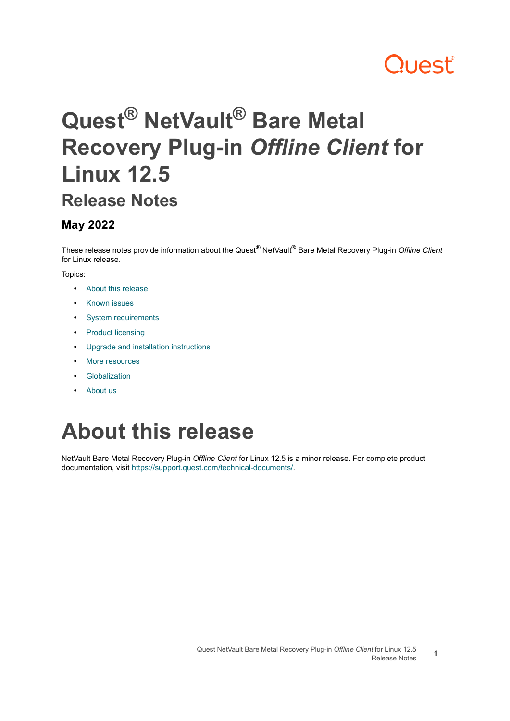# **Quest**

# **Quest® NetVault® Bare Metal Recovery Plug-in** *Offline Client* **for Linux 12.5**

### **Release Notes**

#### **May 2022**

These release notes provide information about the Quest® NetVault® Bare Metal Recovery Plug-in *Offline Client* for Linux release.

#### Topics:

- **•** [About this release](#page-0-0)
- **•** [Known issues](#page-1-0)
- **•** [System requirements](#page-1-1)
- **•** [Product licensing](#page-1-2)
- **•** [Upgrade and installation instructions](#page-2-0)
- **•** [More resources](#page-3-0)
- **•** [Globalization](#page-3-1)
- **•** [About us](#page-3-2)

# <span id="page-0-0"></span>**About this release**

NetVault Bare Metal Recovery Plug-in *Offline Client* for Linux 12.5 is a minor release. For complete product documentation, visit <https://support.quest.com/technical-documents/>.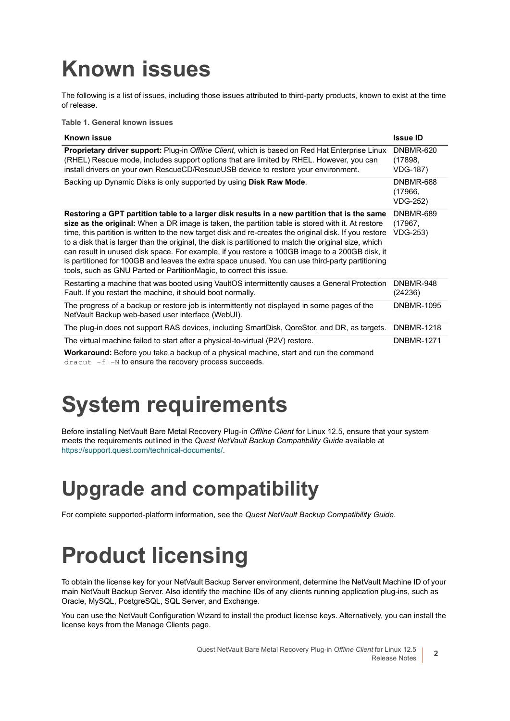# <span id="page-1-0"></span>**Known issues**

The following is a list of issues, including those issues attributed to third-party products, known to exist at the time of release.

**Table 1. General known issues**

| Known issue                                                                                                                                                                                                                                                                                                                                                                                                                                                                                                                                                                                                                                                                                        | <b>Issue ID</b>                         |
|----------------------------------------------------------------------------------------------------------------------------------------------------------------------------------------------------------------------------------------------------------------------------------------------------------------------------------------------------------------------------------------------------------------------------------------------------------------------------------------------------------------------------------------------------------------------------------------------------------------------------------------------------------------------------------------------------|-----------------------------------------|
| <b>Proprietary driver support:</b> Plug-in Offline Client, which is based on Red Hat Enterprise Linux<br>(RHEL) Rescue mode, includes support options that are limited by RHEL. However, you can<br>install drivers on your own RescueCD/RescueUSB device to restore your environment.                                                                                                                                                                                                                                                                                                                                                                                                             | DNBMR-620<br>(17898,<br><b>VDG-187)</b> |
| Backing up Dynamic Disks is only supported by using Disk Raw Mode.                                                                                                                                                                                                                                                                                                                                                                                                                                                                                                                                                                                                                                 | DNBMR-688<br>(17966,<br><b>VDG-252)</b> |
| Restoring a GPT partition table to a larger disk results in a new partition that is the same<br>size as the original: When a DR image is taken, the partition table is stored with it. At restore<br>time, this partition is written to the new target disk and re-creates the original disk. If you restore<br>to a disk that is larger than the original, the disk is partitioned to match the original size, which<br>can result in unused disk space. For example, if you restore a 100GB image to a 200GB disk, it<br>is partitioned for 100GB and leaves the extra space unused. You can use third-party partitioning<br>tools, such as GNU Parted or PartitionMagic, to correct this issue. | DNBMR-689<br>(17967,<br><b>VDG-253)</b> |
| Restarting a machine that was booted using VaultOS intermittently causes a General Protection<br>Fault. If you restart the machine, it should boot normally.                                                                                                                                                                                                                                                                                                                                                                                                                                                                                                                                       | DNBMR-948<br>(24236)                    |
| The progress of a backup or restore job is intermittently not displayed in some pages of the<br>NetVault Backup web-based user interface (WebUI).                                                                                                                                                                                                                                                                                                                                                                                                                                                                                                                                                  | <b>DNBMR-1095</b>                       |
| The plug-in does not support RAS devices, including SmartDisk, QoreStor, and DR, as targets.                                                                                                                                                                                                                                                                                                                                                                                                                                                                                                                                                                                                       | <b>DNBMR-1218</b>                       |
| The virtual machine failed to start after a physical-to-virtual (P2V) restore.<br><b>Workaround:</b> Before you take a backup of a physical machine, start and run the command<br>$dracut$ -f -N to ensure the recovery process succeeds.                                                                                                                                                                                                                                                                                                                                                                                                                                                          | <b>DNBMR-1271</b>                       |

# <span id="page-1-1"></span>**System requirements**

Before installing NetVault Bare Metal Recovery Plug-in *Offline Client* for Linux 12.5, ensure that your system meets the requirements outlined in the *Quest NetVault Backup Compatibility Guide* available at <https://support.quest.com/technical-documents/>.

### **Upgrade and compatibility**

For complete supported-platform information, see the *Quest NetVault Backup Compatibility Guide*.

# <span id="page-1-2"></span>**Product licensing**

To obtain the license key for your NetVault Backup Server environment, determine the NetVault Machine ID of your main NetVault Backup Server. Also identify the machine IDs of any clients running application plug-ins, such as Oracle, MySQL, PostgreSQL, SQL Server, and Exchange.

You can use the NetVault Configuration Wizard to install the product license keys. Alternatively, you can install the license keys from the Manage Clients page.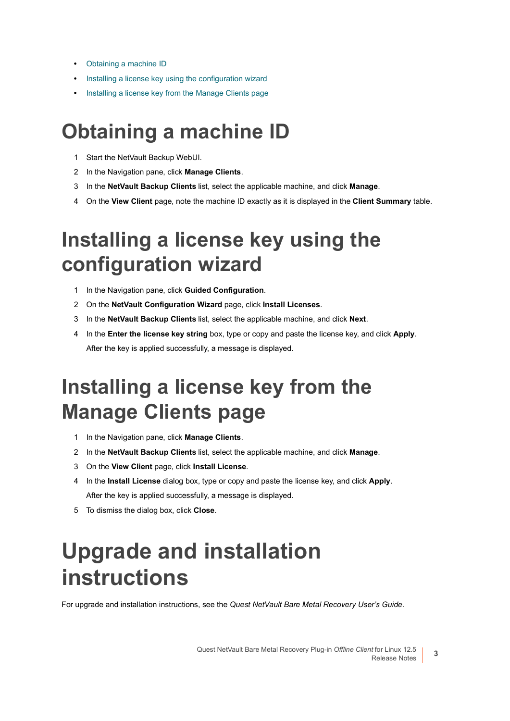- **•** [Obtaining a machine ID](#page-2-1)
- **•** [Installing a license key using the configuration wizard](#page-2-2)
- **•** [Installing a license key from the Manage Clients page](#page-2-3)

### <span id="page-2-1"></span>**Obtaining a machine ID**

- 1 Start the NetVault Backup WebUI.
- 2 In the Navigation pane, click **Manage Clients**.
- 3 In the **NetVault Backup Clients** list, select the applicable machine, and click **Manage**.
- 4 On the **View Client** page, note the machine ID exactly as it is displayed in the **Client Summary** table.

### <span id="page-2-2"></span>**Installing a license key using the configuration wizard**

- 1 In the Navigation pane, click **Guided Configuration**.
- 2 On the **NetVault Configuration Wizard** page, click **Install Licenses**.
- 3 In the **NetVault Backup Clients** list, select the applicable machine, and click **Next**.
- 4 In the **Enter the license key string** box, type or copy and paste the license key, and click **Apply**. After the key is applied successfully, a message is displayed.

### <span id="page-2-3"></span>**Installing a license key from the Manage Clients page**

- 1 In the Navigation pane, click **Manage Clients**.
- 2 In the **NetVault Backup Clients** list, select the applicable machine, and click **Manage**.
- 3 On the **View Client** page, click **Install License**.
- 4 In the **Install License** dialog box, type or copy and paste the license key, and click **Apply**. After the key is applied successfully, a message is displayed.
- 5 To dismiss the dialog box, click **Close**.

## <span id="page-2-0"></span>**Upgrade and installation instructions**

For upgrade and installation instructions, see the *Quest NetVault Bare Metal Recovery User's Guide*.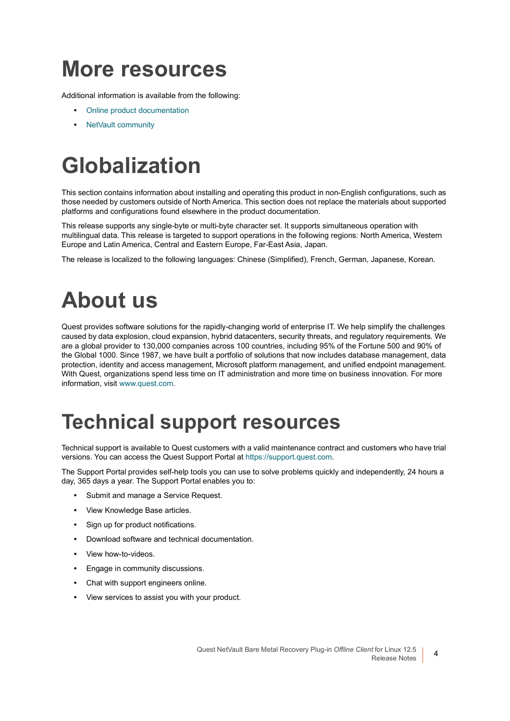## <span id="page-3-0"></span>**More resources**

Additional information is available from the following:

- **•** [Online product documentation](https://support.quest.com/technical-documents/)
- **•** [NetVault community](https://www.quest.com/community/products/netvault/)

# <span id="page-3-1"></span>**Globalization**

This section contains information about installing and operating this product in non-English configurations, such as those needed by customers outside of North America. This section does not replace the materials about supported platforms and configurations found elsewhere in the product documentation.

This release supports any single-byte or multi-byte character set. It supports simultaneous operation with multilingual data. This release is targeted to support operations in the following regions: North America, Western Europe and Latin America, Central and Eastern Europe, Far-East Asia, Japan.

The release is localized to the following languages: Chinese (Simplified), French, German, Japanese, Korean.

# <span id="page-3-2"></span>**About us**

Quest provides software solutions for the rapidly-changing world of enterprise IT. We help simplify the challenges caused by data explosion, cloud expansion, hybrid datacenters, security threats, and regulatory requirements. We are a global provider to 130,000 companies across 100 countries, including 95% of the Fortune 500 and 90% of the Global 1000. Since 1987, we have built a portfolio of solutions that now includes database management, data protection, identity and access management, Microsoft platform management, and unified endpoint management. With Quest, organizations spend less time on IT administration and more time on business innovation. For more information, visit [www.quest.com](https://www.quest.com/company/contact-us.aspx).

### **Technical support resources**

Technical support is available to Quest customers with a valid maintenance contract and customers who have trial versions. You can access the Quest Support Portal at [https://support.quest.com.](https://support.quest.com)

The Support Portal provides self-help tools you can use to solve problems quickly and independently, 24 hours a day, 365 days a year. The Support Portal enables you to:

- **•** Submit and manage a Service Request.
- **•** View Knowledge Base articles.
- **•** Sign up for product notifications.
- **•** Download software and technical documentation.
- **•** View how-to-videos.
- **•** Engage in community discussions.
- **•** Chat with support engineers online.
- **•** View services to assist you with your product.